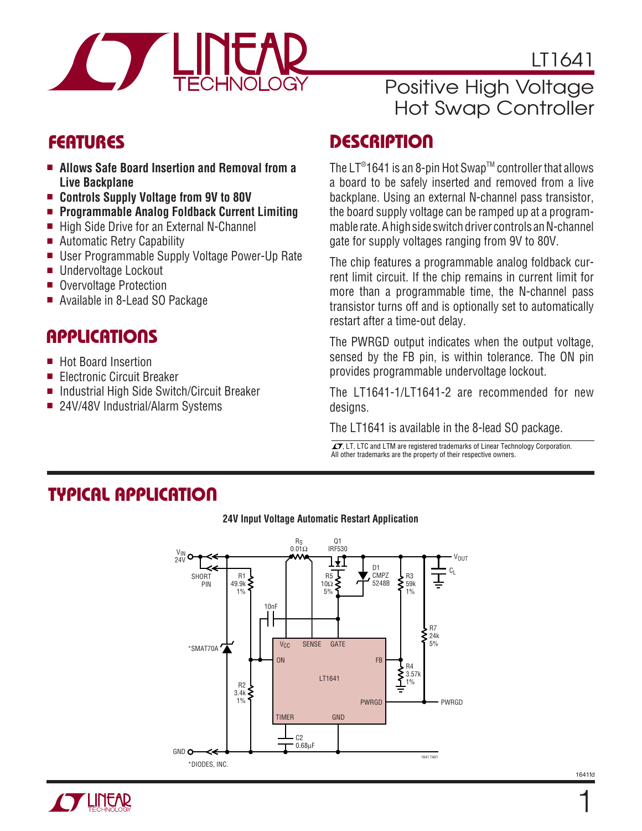

LT1641

## Positive High Voltage Hot Swap Controller

# **FEATURES**

- **Allows Safe Board Insertion and Removal from a Live Backplane**
- **Controls Supply Voltage from 9V to 80V**
- **Programmable Analog Foldback Current Limiting**
- High Side Drive for an External N-Channel
- Automatic Retry Capability
- User Programmable Supply Voltage Power-Up Rate
- Undervoltage Lockout
- Overvoltage Protection
- Available in 8-Lead SO Package

### **APPLICATIONS**

- Hot Board Insertion
- Electronic Circuit Breaker
- Industrial High Side Switch/Circuit Breaker
- 24V/48V Industrial/Alarm Systems

# **DESCRIPTION**

The LT®1641 is an 8-pin Hot Swap™ controller that allows a board to be safely inserted and removed from a live backplane. Using an external N-channel pass transistor, the board supply voltage can be ramped up at a programmable rate. A high side switch driver controls an N-channel gate for supply voltages ranging from 9V to 80V.

The chip features a programmable analog foldback current limit circuit. If the chip remains in current limit for more than a programmable time, the N-channel pass transistor turns off and is optionally set to automatically restart after a time-out delay.

The PWRGD output indicates when the output voltage, sensed by the FB pin, is within tolerance. The ON pin provides programmable undervoltage lockout.

The LT1641-1/LT1641-2 are recommended for new desians.

The LT1641 is available in the 8-lead SO package.

 $\sqrt{J}$ , LT, LTC and LTM are registered trademarks of Linear Technology Corporation. All other trademarks are the property of their respective owners.

### **TYPICAL APPLICATION**



#### **24V Input Voltage Automatic Restart Application**

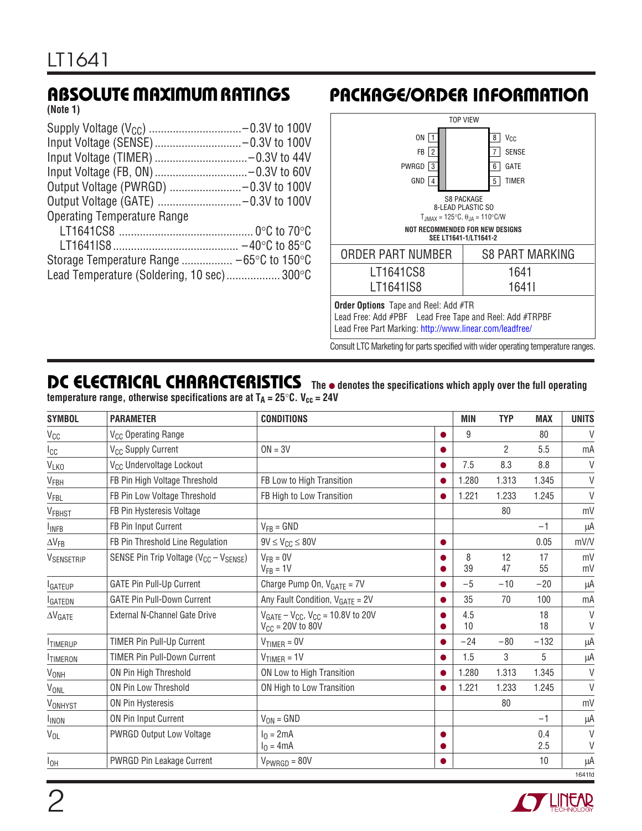**(Note 1)**

| <b>Operating Temperature Range</b>         |  |
|--------------------------------------------|--|
|                                            |  |
|                                            |  |
|                                            |  |
| Lead Temperature (Soldering, 10 sec) 300°C |  |
|                                            |  |

# **ABSOLUTE MAXIMUM RATINGS PACKAGE/ORDER INFORMATION**



Consult LTC Marketing for parts specified with wider operating temperature ranges.

### **DC ELECTRICAL CHARACTERISTICS** The  $\bullet$  denotes the specifications which apply over the full operating **temperature range, otherwise specifications are at**  $T_A = 25^\circ C$ **. V<sub>cc</sub> = 24V**

| <b>SYMBOL</b>          | <b>PARAMETER</b>                                | <b>CONDITIONS</b>                                                             |                        | <b>MIN</b> | <b>TYP</b>     | <b>MAX</b> | <b>UNITS</b>     |
|------------------------|-------------------------------------------------|-------------------------------------------------------------------------------|------------------------|------------|----------------|------------|------------------|
| $V_{CC}$               | V <sub>CC</sub> Operating Range                 |                                                                               | $\bullet$              | 9          |                | 80         | $\vee$           |
| Icc                    | V <sub>CC</sub> Supply Current                  | $ON = 3V$                                                                     | $\bullet$              |            | $\overline{2}$ | 5.5        | mA               |
| VLKO                   | V <sub>CC</sub> Undervoltage Lockout            |                                                                               | $\bullet$              | 7.5        | 8.3            | 8.8        | V                |
| $V_{FBH}$              | FB Pin High Voltage Threshold                   | FB Low to High Transition                                                     | $\bullet$              | 1.280      | 1.313          | 1.345      | $\vee$           |
| V <sub>FBL</sub>       | FB Pin Low Voltage Threshold                    | FB High to Low Transition                                                     | ●                      | 1.221      | 1.233          | 1.245      | $\vee$           |
| V <sub>FBHST</sub>     | FB Pin Hysteresis Voltage                       |                                                                               |                        |            | 80             |            | mV               |
| <b>INFB</b>            | FB Pin Input Current                            | $V_{FB} = GND$                                                                |                        |            |                | $-1$       | μA               |
| $\Delta V_{FB}$        | FB Pin Threshold Line Regulation                | $9V \leq V_{CC} \leq 80V$                                                     | $\bullet$              |            |                | 0.05       | mV/V             |
| VSENSETRIP             | SENSE Pin Trip Voltage ( $V_{CC} - V_{SENSE}$ ) | $V_{FR} = 0V$<br>$V_{FB} = 1V$                                                | O<br>●                 | 8<br>39    | 12<br>47       | 17<br>55   | mV<br>mV         |
| <b>I</b> GATEUP        | <b>GATE Pin Pull-Up Current</b>                 | Charge Pump On, $V_{GATE} = 7V$                                               | ●                      | $-5$       | $-10$          | $-20$      | μA               |
| <b>IGATEDN</b>         | <b>GATE Pin Pull-Down Current</b>               | Any Fault Condition, $V_{GATE} = 2V$                                          | $\bullet$              | 35         | 70             | 100        | mA               |
| $\Delta V$ GATE        | <b>External N-Channel Gate Drive</b>            | $V_{GATE} - V_{CC}$ , $V_{CC} = 10.8V$ to 20V<br>$V_{\text{CC}} = 20V$ to 80V | $\bullet$<br>$\bullet$ | 4.5<br>10  |                | 18<br>18   | $\vee$<br>$\vee$ |
| <b>TIMERUP</b>         | TIMER Pin Pull-Up Current                       | $V_{TIMER} = 0V$                                                              | $\bullet$              | $-24$      | $-80$          | $-132$     | μA               |
| <b>ITIMERON</b>        | <b>TIMER Pin Pull-Down Current</b>              | $V_{TIMER} = 1V$                                                              | $\bullet$              | 1.5        | 3              | 5          | μA               |
| <b>V<sub>ONH</sub></b> | ON Pin High Threshold                           | ON Low to High Transition                                                     | $\bullet$              | 1.280      | 1.313          | 1.345      | V                |
| VONL                   | ON Pin Low Threshold                            | ON High to Low Transition                                                     | $\bullet$              | 1.221      | 1.233          | 1.245      | $\vee$           |
| VONHYST                | ON Pin Hysteresis                               |                                                                               |                        |            | 80             |            | mV               |
| <b>INON</b>            | ON Pin Input Current                            | $V_{ON} = GND$                                                                |                        |            |                | $-1$       | μA               |
| $V_{OL}$               | <b>PWRGD Output Low Voltage</b>                 | $I_0 = 2mA$<br>$I_0 = 4mA$                                                    | $\bullet$<br>0         |            |                | 0.4<br>2.5 | $\vee$<br>$\vee$ |
| $I_{OH}$               | <b>PWRGD Pin Leakage Current</b>                | $V_{PWRGB} = 80V$                                                             | $\bullet$              |            |                | 10         | μA               |
|                        |                                                 |                                                                               |                        |            |                |            | 1641fd           |

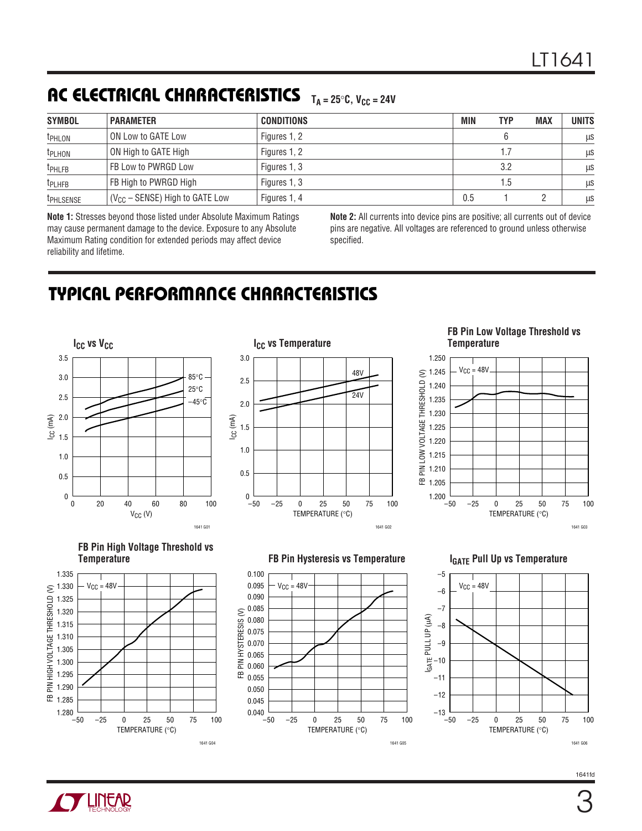# **AC ELECTRICAL CHARACTERISTICS**  $_{\text{T}_\text{A} = 25^\circ \text{C}, \text{ V}_{\text{CC}} = 24 \text{V}}$

| <b>SYMBOL</b>      | <b>PARAMETER</b>                    | <b>CONDITIONS</b> | <b>MIN</b> | <b>TYP</b> | <b>MAX</b> | <b>UNITS</b> |
|--------------------|-------------------------------------|-------------------|------------|------------|------------|--------------|
| <b>TPHLON</b>      | ON Low to GATE Low                  | Figures 1, 2      |            |            |            | μS           |
| <b>TPLHON</b>      | ON High to GATE High                | Figures 1, 2      |            | 1.7        |            | μS           |
| <sup>t</sup> PHLFB | FB Low to PWRGD Low                 | Figures 1, 3      |            | 3.2        |            | μS           |
| <b>TPLHFB</b>      | FB High to PWRGD High               | Figures 1, 3      | 1.5        |            |            | μS           |
| <b>TPHLSENSE</b>   | $(V_{CC} -$ SENSE) High to GATE Low | Figures 1, 4      | 0.5        |            |            | <b>LLS</b>   |

**Note 1:** Stresses beyond those listed under Absolute Maximum Ratings may cause permanent damage to the device. Exposure to any Absolute Maximum Rating condition for extended periods may affect device reliability and lifetime.

**Note 2:** All currents into device pins are positive; all currents out of device pins are negative. All voltages are referenced to ground unless otherwise specified.

# **TYPICAL PERFORMANCE CHARACTERISTICS**





#### **FB Pin Low Voltage Threshold vs Temperature**







**TEREAR** 





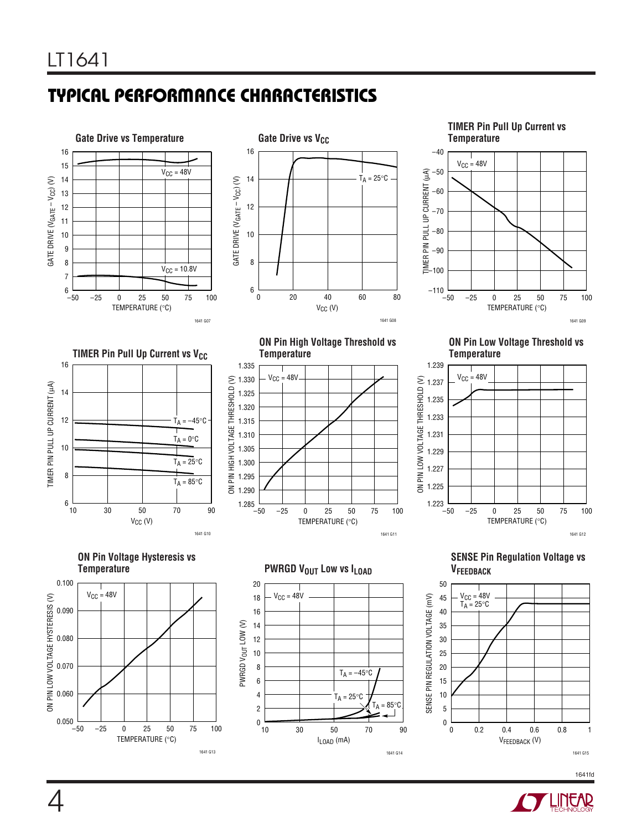# **TYPICAL PERFORMANCE CHARACTERISTICS**





**TIMER Pin Pull Up Current vs Temperature**



**TIMER Pin Pull Up Current vs V<sub>CC</sub>** 16 **TIMER PIN PULL UP CURRENT (LA)** TIMER PIN PULL UP CURRENT (µA) 14 12  $T_A = -45^{\circ}C$  $T_A = 0$ °C 10  $T_A = 25^\circ C$ 8  $T_A = 85$ °C  $6\frac{1}{10}$ 10 30 50 70 90  $V_{CC}$  (V)

TEMPERATURE (°C) –50 –25 0 25 50 75 100 ON PIN HIGH VOLTAGE THRESHOLD (V) 1641 G11 1.335 1.330 1.325 1.320 1.315 1.310 1.305 1.300 1.295 1.290  $-50$  $V_{CC} = 48V$ **ON Pin High Voltage Threshold vs Temperature**

**ON Pin Low Voltage Threshold vs Temperature**



**ON Pin Voltage Hysteresis vs**

1641 G10



**PWRGD VOUT LOW VS ILOAD** 



**SENSE Pin Regulation Voltage vs VFEEDBACK**



1641fd

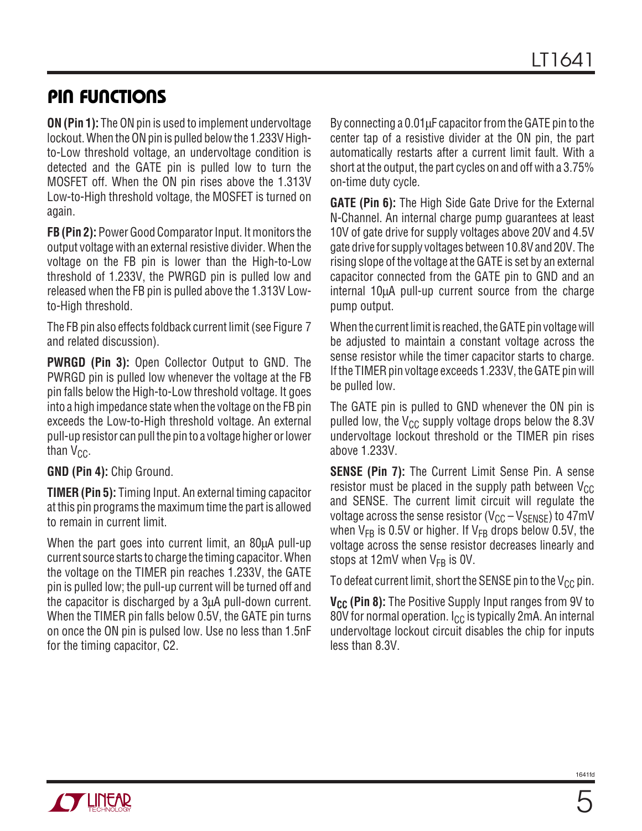### **PIN FUNCTIONS**

**ON (Pin 1):** The ON pin is used to implement undervoltage lockout. When the ON pin is pulled below the 1.233V Highto-Low threshold voltage, an undervoltage condition is detected and the GATE pin is pulled low to turn the MOSFET off. When the ON pin rises above the 1.313V Low-to-High threshold voltage, the MOSFET is turned on again.

**FB (Pin 2):** Power Good Comparator Input. It monitors the output voltage with an external resistive divider. When the voltage on the FB pin is lower than the High-to-Low threshold of 1.233V, the PWRGD pin is pulled low and released when the FB pin is pulled above the 1.313V Lowto-High threshold.

The FB pin also effects foldback current limit (see Figure 7 and related discussion).

**PWRGD (Pin 3):** Open Collector Output to GND. The PWRGD pin is pulled low whenever the voltage at the FB pin falls below the High-to-Low threshold voltage. It goes into a high impedance state when the voltage on the FB pin exceeds the Low-to-High threshold voltage. An external pull-up resistor can pull the pin to a voltage higher or lower than  $V_{CC}$ .

**GND (Pin 4):** Chip Ground.

**TIMER (Pin 5):** Timing Input. An external timing capacitor at this pin programs the maximum time the part is allowed to remain in current limit.

When the part goes into current limit, an 80 $\mu$ A pull-up current source starts to charge the timing capacitor. When the voltage on the TIMER pin reaches 1.233V, the GATE pin is pulled low; the pull-up current will be turned off and the capacitor is discharged by a 3µA pull-down current. When the TIMER pin falls below 0.5V, the GATE pin turns on once the ON pin is pulsed low. Use no less than 1.5nF for the timing capacitor, C2.

By connecting a 0.01µF capacitor from the GATE pin to the center tap of a resistive divider at the ON pin, the part automatically restarts after a current limit fault. With a short at the output, the part cycles on and off with a 3.75% on-time duty cycle.

**GATE (Pin 6):** The High Side Gate Drive for the External N-Channel. An internal charge pump guarantees at least 10V of gate drive for supply voltages above 20V and 4.5V gate drive for supply voltages between 10.8V and 20V. The rising slope of the voltage at the GATE is set by an external capacitor connected from the GATE pin to GND and an internal 10µA pull-up current source from the charge pump output.

When the current limit is reached, the GATE pin voltage will be adjusted to maintain a constant voltage across the sense resistor while the timer capacitor starts to charge. If the TIMER pin voltage exceeds 1.233V, the GATE pin will be pulled low.

The GATE pin is pulled to GND whenever the ON pin is pulled low, the  $V_{CC}$  supply voltage drops below the 8.3V undervoltage lockout threshold or the TIMER pin rises above 1.233V.

**SENSE (Pin 7):** The Current Limit Sense Pin. A sense resistor must be placed in the supply path between  $V_{CC}$ and SENSE. The current limit circuit will regulate the voltage across the sense resistor  $(V_{CC} - V_{SENSE})$  to 47mV when  $V_{FB}$  is 0.5V or higher. If  $V_{FB}$  drops below 0.5V, the voltage across the sense resistor decreases linearly and stops at 12mV when  $V_{FB}$  is 0V.

To defeat current limit, short the SENSE pin to the  $V_{CC}$  pin.

**V<sub>CC</sub>** (Pin 8): The Positive Supply Input ranges from 9V to 80V for normal operation.  $I_{CC}$  is typically 2mA. An internal undervoltage lockout circuit disables the chip for inputs less than 8.3V.

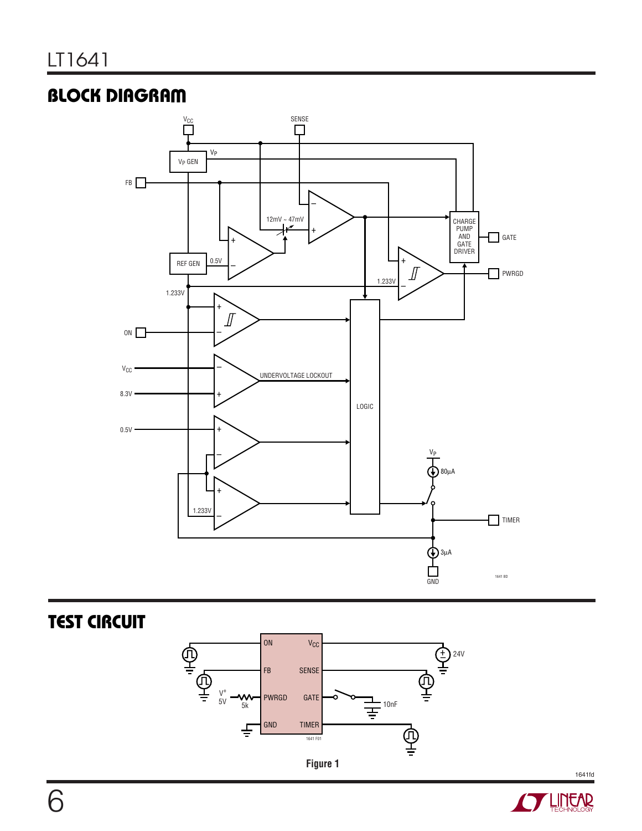# **BLOCK DIAGRAM**



**TEST CIRCUIT** 





1641fd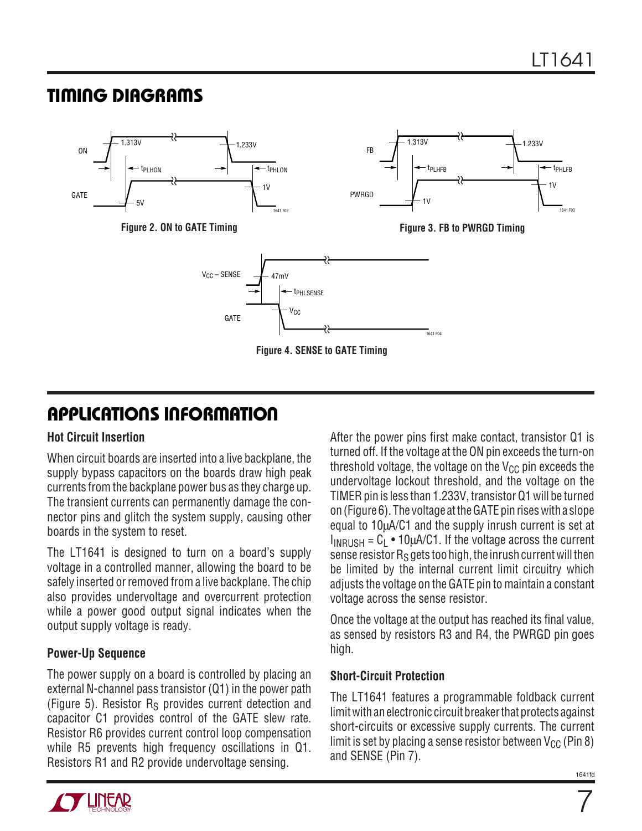### **TI I G DIAGRA S WU W**



# **APPLICATIONS INFORMATION**

### **Hot Circuit Insertion**

When circuit boards are inserted into a live backplane, the supply bypass capacitors on the boards draw high peak currents from the backplane power bus as they charge up. The transient currents can permanently damage the connector pins and glitch the system supply, causing other boards in the system to reset.

The LT1641 is designed to turn on a board's supply voltage in a controlled manner, allowing the board to be safely inserted or removed from a live backplane. The chip also provides undervoltage and overcurrent protection while a power good output signal indicates when the output supply voltage is ready.

### **Power-Up Sequence**

The power supply on a board is controlled by placing an external N-channel pass transistor (Q1) in the power path (Figure 5). Resistor  $R<sub>S</sub>$  provides current detection and capacitor C1 provides control of the GATE slew rate. Resistor R6 provides current control loop compensation while R5 prevents high frequency oscillations in Q1. Resistors R1 and R2 provide undervoltage sensing.

After the power pins first make contact, transistor Q1 is turned off. If the voltage at the ON pin exceeds the turn-on threshold voltage, the voltage on the  $V_{CC}$  pin exceeds the undervoltage lockout threshold, and the voltage on the TIMER pin is less than 1.233V, transistor Q1 will be turned on (Figure 6). The voltage at the GATE pin rises with a slope equal to 10µA/C1 and the supply inrush current is set at  $I_{INRISH} = C_1 \cdot 10 \mu A/C1$ . If the voltage across the current sense resistor  $R_S$  gets too high, the inrush current will then be limited by the internal current limit circuitry which adjusts the voltage on the GATE pin to maintain a constant voltage across the sense resistor.

Once the voltage at the output has reached its final value, as sensed by resistors R3 and R4, the PWRGD pin goes high.

### **Short-Circuit Protection**

The LT1641 features a programmable foldback current limit with an electronic circuit breaker that protects against short-circuits or excessive supply currents. The current limit is set by placing a sense resistor between  $V_{CC}$  (Pin 8) and SENSE (Pin 7).

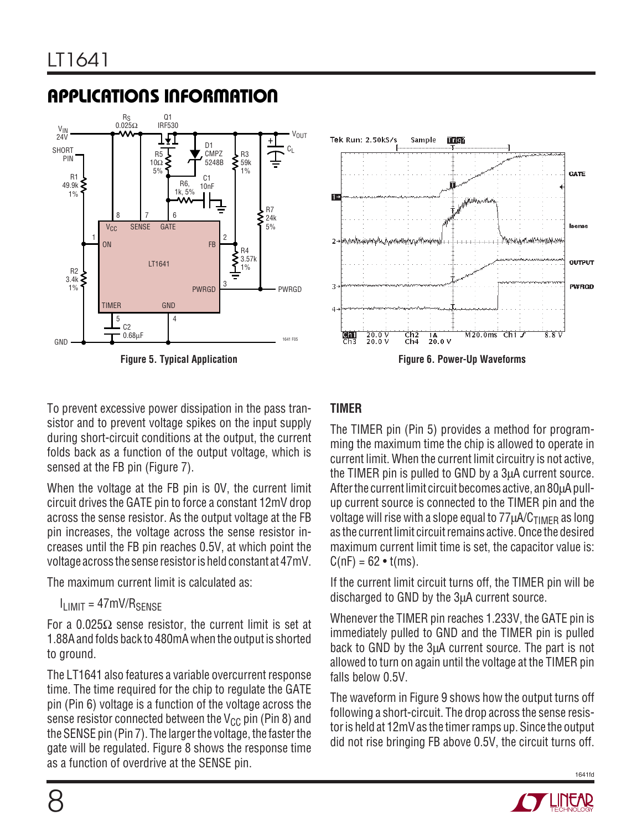# **APPLICATIONS INFORMATION**





To prevent excessive power dissipation in the pass transistor and to prevent voltage spikes on the input supply during short-circuit conditions at the output, the current folds back as a function of the output voltage, which is sensed at the FB pin (Figure 7).

When the voltage at the FB pin is 0V, the current limit circuit drives the GATE pin to force a constant 12mV drop across the sense resistor. As the output voltage at the FB pin increases, the voltage across the sense resistor increases until the FB pin reaches 0.5V, at which point the voltage across the sense resistor is held constant at 47mV.

The maximum current limit is calculated as:

### $I<sub>LIMIT</sub> = 47mV/R<sub>SENSE</sub>$

For a 0.025Ω sense resistor, the current limit is set at 1.88A and folds back to 480mA when the output is shorted to ground.

The LT1641 also features a variable overcurrent response time. The time required for the chip to regulate the GATE pin (Pin 6) voltage is a function of the voltage across the sense resistor connected between the  $V_{CC}$  pin (Pin 8) and the SENSE pin (Pin 7). The larger the voltage, the faster the gate will be regulated. Figure 8 shows the response time as a function of overdrive at the SENSE pin.

### **TIMER**

The TIMER pin (Pin 5) provides a method for programming the maximum time the chip is allowed to operate in current limit. When the current limit circuitry is not active, the TIMER pin is pulled to GND by a 3µA current source. After the current limit circuit becomes active, an 80µA pullup current source is connected to the TIMER pin and the voltage will rise with a slope equal to  $77 \mu A/C<sub>TIMER</sub>$  as long as the current limit circuit remains active. Once the desired maximum current limit time is set, the capacitor value is:  $C(nF) = 62 \cdot t(ms)$ .

If the current limit circuit turns off, the TIMER pin will be discharged to GND by the 3µA current source.

Whenever the TIMER pin reaches 1.233V, the GATE pin is immediately pulled to GND and the TIMER pin is pulled back to GND by the 3µA current source. The part is not allowed to turn on again until the voltage at the TIMER pin falls below 0.5V.

The waveform in Figure 9 shows how the output turns off following a short-circuit. The drop across the sense resistor is held at 12mV as the timer ramps up. Since the output did not rise bringing FB above 0.5V, the circuit turns off.



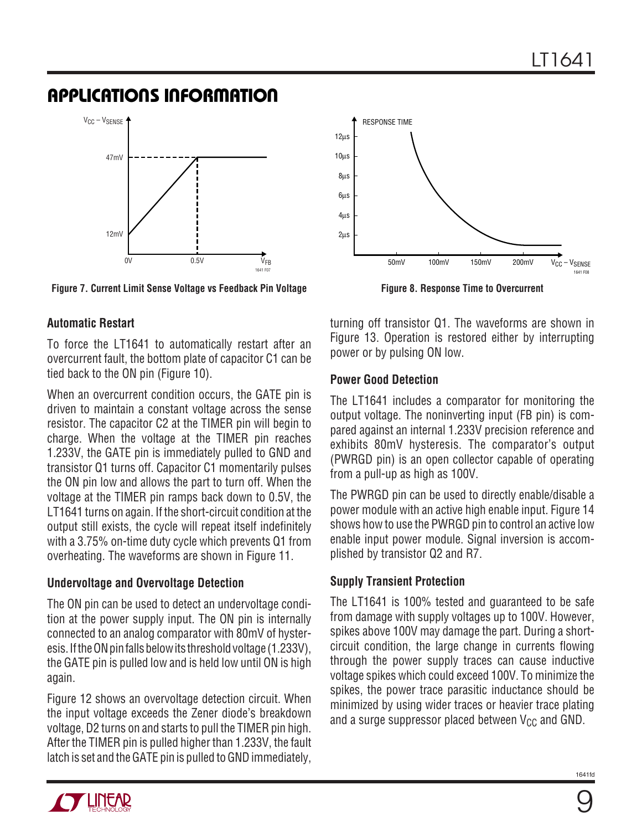### **APPLICATIONS INFORMATION**



**Figure 7. Current Limit Sense Voltage vs Feedback Pin Voltage**

### **Automatic Restart**

To force the LT1641 to automatically restart after an overcurrent fault, the bottom plate of capacitor C1 can be tied back to the ON pin (Figure 10).

When an overcurrent condition occurs, the GATE pin is driven to maintain a constant voltage across the sense resistor. The capacitor C2 at the TIMER pin will begin to charge. When the voltage at the TIMER pin reaches 1.233V, the GATE pin is immediately pulled to GND and transistor Q1 turns off. Capacitor C1 momentarily pulses the ON pin low and allows the part to turn off. When the voltage at the TIMER pin ramps back down to 0.5V, the LT1641 turns on again. If the short-circuit condition at the output still exists, the cycle will repeat itself indefinitely with a 3.75% on-time duty cycle which prevents Q1 from overheating. The waveforms are shown in Figure 11.

### **Undervoltage and Overvoltage Detection**

The ON pin can be used to detect an undervoltage condition at the power supply input. The ON pin is internally connected to an analog comparator with 80mV of hysteresis. If the ON pin falls below its threshold voltage (1.233V), the GATE pin is pulled low and is held low until ON is high again.

Figure 12 shows an overvoltage detection circuit. When the input voltage exceeds the Zener diode's breakdown voltage, D2 turns on and starts to pull the TIMER pin high. After the TIMER pin is pulled higher than 1.233V, the fault latch is set and the GATE pin is pulled to GND immediately,



**Figure 8. Response Time to Overcurrent**

turning off transistor Q1. The waveforms are shown in Figure 13. Operation is restored either by interrupting power or by pulsing ON low.

### **Power Good Detection**

The LT1641 includes a comparator for monitoring the output voltage. The noninverting input (FB pin) is compared against an internal 1.233V precision reference and exhibits 80mV hysteresis. The comparator's output (PWRGD pin) is an open collector capable of operating from a pull-up as high as 100V.

The PWRGD pin can be used to directly enable/disable a power module with an active high enable input. Figure 14 shows how to use the PWRGD pin to control an active low enable input power module. Signal inversion is accomplished by transistor Q2 and R7.

### **Supply Transient Protection**

The LT1641 is 100% tested and guaranteed to be safe from damage with supply voltages up to 100V. However, spikes above 100V may damage the part. During a shortcircuit condition, the large change in currents flowing through the power supply traces can cause inductive voltage spikes which could exceed 100V. To minimize the spikes, the power trace parasitic inductance should be minimized by using wider traces or heavier trace plating and a surge suppressor placed between  $V_{CC}$  and GND.

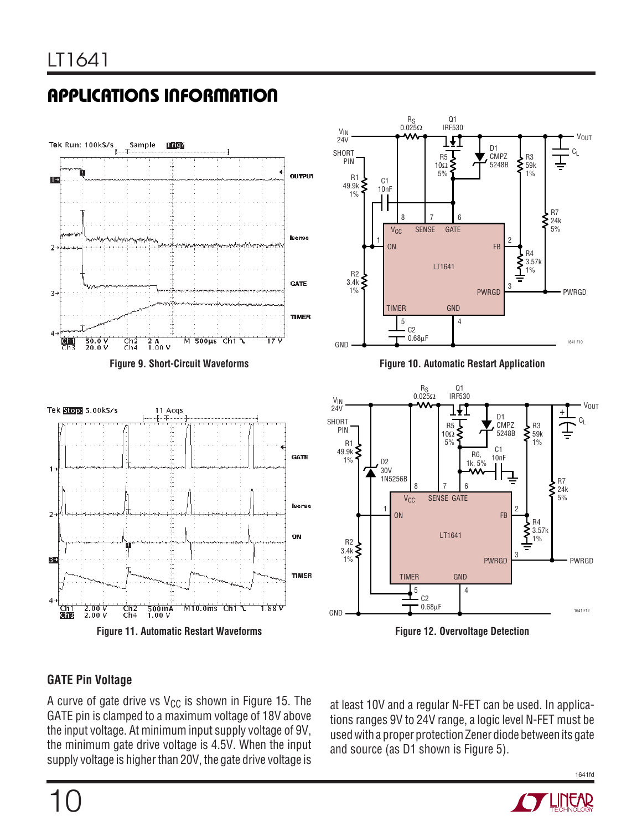



**Figure 11. Automatic Restart Waveforms**



**Figure 10. Automatic Restart Application**



**Figure 12. Overvoltage Detection**

### **GATE Pin Voltage**

A curve of gate drive vs  $V_{CC}$  is shown in Figure 15. The GATE pin is clamped to a maximum voltage of 18V above the input voltage. At minimum input supply voltage of 9V, the minimum gate drive voltage is 4.5V. When the input supply voltage is higher than 20V, the gate drive voltage is

at least 10V and a regular N-FET can be used. In applications ranges 9V to 24V range, a logic level N-FET must be used with a proper protection Zener diode between its gate and source (as D1 shown is Figure 5).



1641fd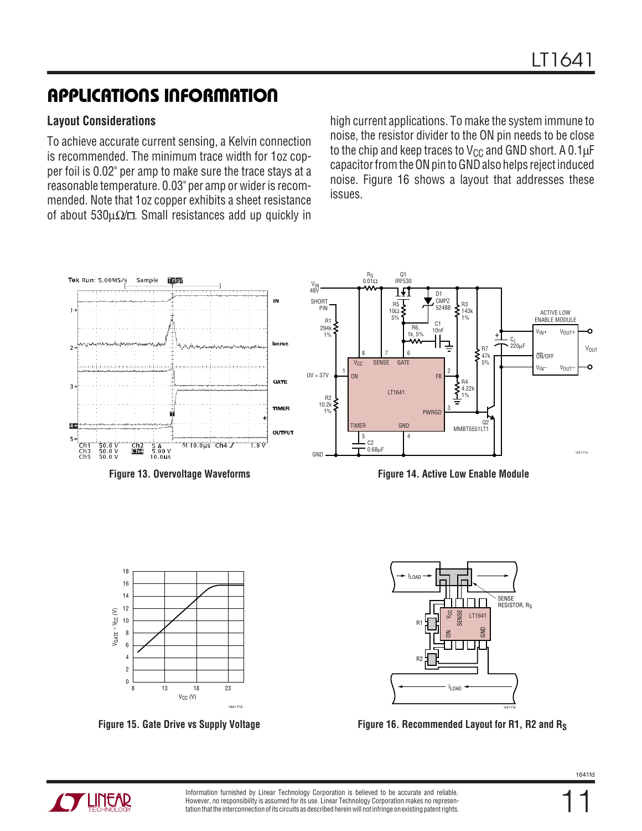# **APPLICATIONS INFORMATION**

### **Layout Considerations**

To achieve accurate current sensing, a Kelvin connection is recommended. The minimum trace width for 1oz copper foil is 0.02" per amp to make sure the trace stays at a reasonable temperature. 0.03" per amp or wider is recommended. Note that 1oz copper exhibits a sheet resistance of about 530μ $\Omega$  . Small resistances add up quickly in

high current applications. To make the system immune to noise, the resistor divider to the ON pin needs to be close to the chip and keep traces to  $V_{CC}$  and GND short. A 0.1 $\mu$ F capacitor from the ON pin to GND also helps reject induced noise. Figure 16 shows a layout that addresses these issues.







**Figure 15. Gate Drive vs Supply Voltage Figure 16. Recommended Layout for R1, R2 and RS**

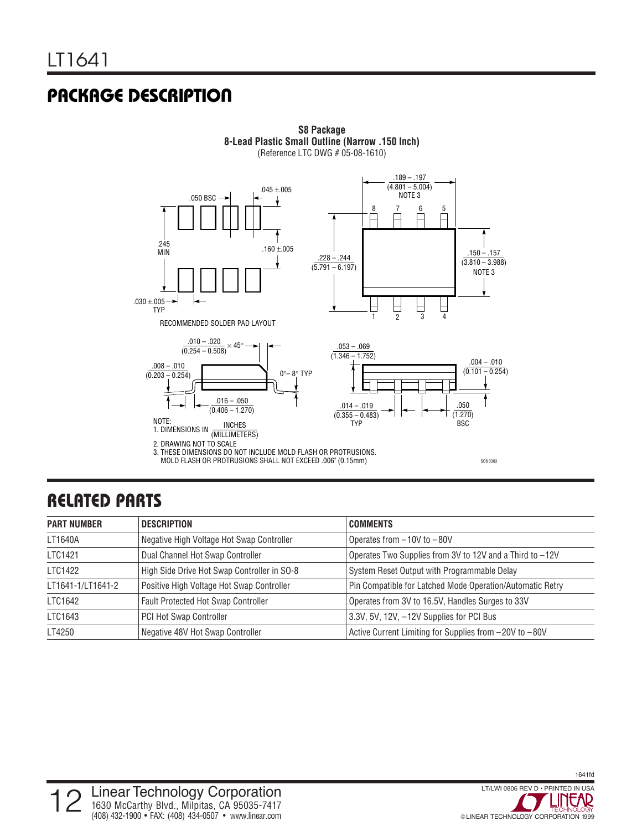### **PACKAGE DESCRIPTION**



### **RELATED PARTS**

| <b>PART NUMBER</b> | <b>DESCRIPTION</b>                          | <b>COMMENTS</b>                                           |
|--------------------|---------------------------------------------|-----------------------------------------------------------|
| LT1640A            | Negative High Voltage Hot Swap Controller   | Operates from $-10V$ to $-80V$                            |
| LTC1421            | Dual Channel Hot Swap Controller            | Operates Two Supplies from 3V to 12V and a Third to -12V  |
| LTC1422            | High Side Drive Hot Swap Controller in SO-8 | System Reset Output with Programmable Delay               |
| LT1641-1/LT1641-2  | Positive High Voltage Hot Swap Controller   | Pin Compatible for Latched Mode Operation/Automatic Retry |
| LTC1642            | Fault Protected Hot Swap Controller         | Operates from 3V to 16.5V, Handles Surges to 33V          |
| LTC1643            | PCI Hot Swap Controller                     | 3.3V, 5V, 12V, -12V Supplies for PCI Bus                  |
| LT4250             | Negative 48V Hot Swap Controller            | Active Current Limiting for Supplies from -20V to -80V    |